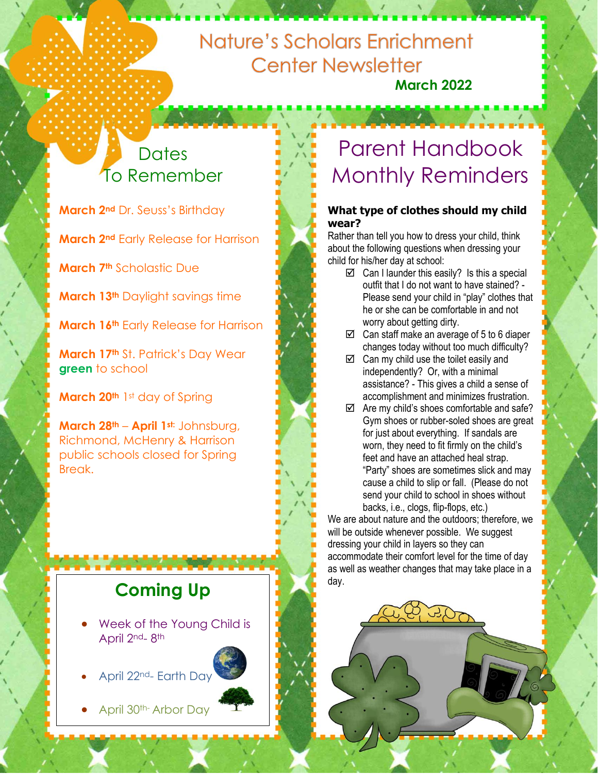## Nature's Scholars Enrichment **Center Newsletter March 2022**

# **Dates** To Remember

**March 2nd** Dr. Seuss's Birthday

**March 2nd** Early Release for Harrison

**March 7th** Scholastic Due

**March 13th** Daylight savings time

**March 16th** Early Release for Harrison

**March 17th** St. Patrick's Day Wear **green** to school

**March 20th** 1st day of Spring

**March 28th** – **April 1st:** Johnsburg, Richmond, McHenry & Harrison public schools closed for Spring Break.

# **Coming Up**

- Week of the Young Child is April 2nd<sub>-8th</sub>
- April 22nd- Earth Day
- April 30th- Arbor Day

# Parent Handbook Monthly Reminders

#### **What type of clothes should my child wear?**

Rather than tell you how to dress your child, think about the following questions when dressing your child for his/her day at school:

- $\boxtimes$  Can I launder this easily? Is this a special outfit that I do not want to have stained? - Please send your child in "play" clothes that he or she can be comfortable in and not worry about getting dirty.
- $\boxtimes$  Can staff make an average of 5 to 6 diaper changes today without too much difficulty?
- $\boxtimes$  Can my child use the toilet easily and independently? Or, with a minimal assistance? - This gives a child a sense of accomplishment and minimizes frustration.
- $\boxtimes$  Are my child's shoes comfortable and safe? Gym shoes or rubber-soled shoes are great for just about everything. If sandals are worn, they need to fit firmly on the child's feet and have an attached heal strap. "Party" shoes are sometimes slick and may cause a child to slip or fall. (Please do not send your child to school in shoes without backs, i.e., clogs, flip-flops, etc.)

We are about nature and the outdoors; therefore, we will be outside whenever possible. We suggest dressing your child in layers so they can accommodate their comfort level for the time of day as well as weather changes that may take place in a day.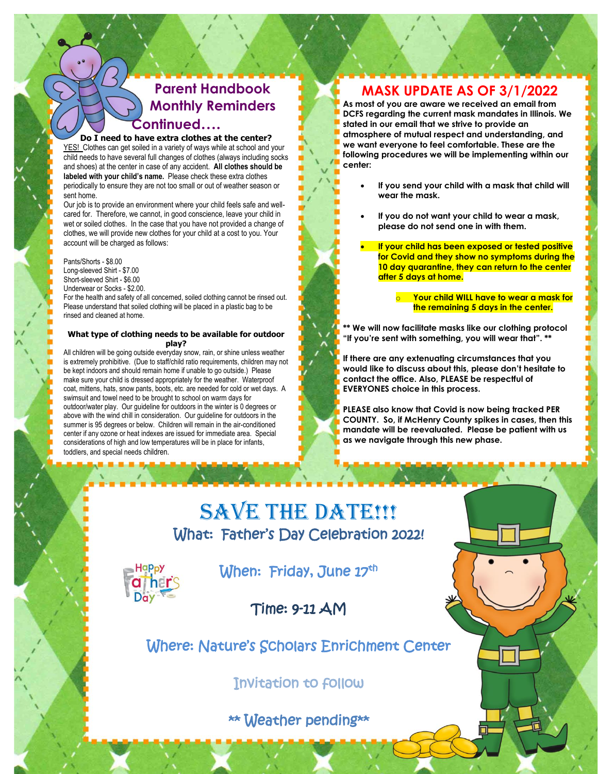## **Parent Handbook ` Monthly Reminders Continued….**

#### **Do I need to have extra clothes at the center?**

YES! Clothes can get soiled in a variety of ways while at school and your child needs to have several full changes of clothes (always including socks and shoes) at the center in case of any accident. **All clothes should be labeled with your child's name.** Please check these extra clothes periodically to ensure they are not too small or out of weather season or sent home.

Our job is to provide an environment where your child feels safe and wellcared for. Therefore, we cannot, in good conscience, leave your child in wet or soiled clothes. In the case that you have not provided a change of clothes, we will provide new clothes for your child at a cost to you. Your account will be charged as follows:

Pants/Shorts - \$8.00 Long-sleeved Shirt - \$7.00 Short-sleeved Shirt - \$6.00 Underwear or Socks - \$2.00.

For the health and safety of all concerned, soiled clothing cannot be rinsed out. Please understand that soiled clothing will be placed in a plastic bag to be rinsed and cleaned at home.

#### **What type of clothing needs to be available for outdoor play?**

All children will be going outside everyday snow, rain, or shine unless weather is extremely prohibitive. (Due to staff/child ratio requirements, children may not be kept indoors and should remain home if unable to go outside.) Please make sure your child is dressed appropriately for the weather. Waterproof coat, mittens, hats, snow pants, boots, etc. are needed for cold or wet days. A swimsuit and towel need to be brought to school on warm days for outdoor/water play. Our guideline for outdoors in the winter is 0 degrees or above with the wind chill in consideration. Our guideline for outdoors in the summer is 95 degrees or below. Children will remain in the air-conditioned center if any ozone or heat indexes are issued for immediate area. Special considerations of high and low temperatures will be in place for infants, toddlers, and special needs children.

#### **MASK UPDATE AS OF 3/1/2022**

**As most of you are aware we received an email from DCFS regarding the current mask mandates in Illinois. We stated in our email that we strive to provide an atmosphere of mutual respect and understanding, and we want everyone to feel comfortable. These are the following procedures we will be implementing within our center:**

- **If you send your child with a mask that child will wear the mask.**
- **If you do not want your child to wear a mask, please do not send one in with them.**
- **If your child has been exposed or tested positive for Covid and they show no symptoms during the 10 day quarantine, they can return to the center after 5 days at home.** 
	- o **Your child WILL have to wear a mask for the remaining 5 days in the center.**

**\*\* We will now facilitate masks like our clothing protocol "If you're sent with something, you will wear that". \*\***

**If there are any extenuating circumstances that you would like to discuss about this, please don't hesitate to contact the office. Also, PLEASE be respectful of EVERYONES choice in this process.**

**PLEASE also know that Covid is now being tracked PER COUNTY. So, if McHenry County spikes in cases, then this mandate will be reevaluated. Please be patient with us as we navigate through this new phase.**

# SAVE THE DATE!!! What: Father's Day Celebration 2022!



When: Friday, June 17th

Time: 9-11 AM

#### Where: Nature's Scholars Enrichment Center

Invitation to follow

#### \*\* Weather pending\*\*